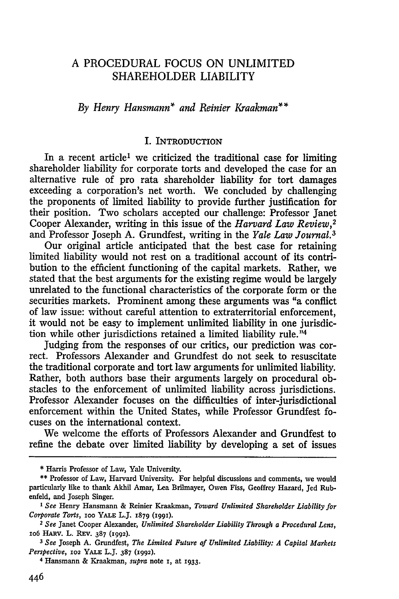# A PROCEDURAL FOCUS ON UNLIMITED SHAREHOLDER LIABILITY

*By Henry Hansmann\* and Reinier Kraakman\*\**

# I. INTRODUCTION

In a recent article' we criticized the traditional case for limiting shareholder liability for corporate torts and developed the case for an alternative rule of pro rata shareholder liability for tort damages exceeding a corporation's net worth. We concluded by challenging the proponents of limited liability to provide further justification for their position. Two scholars accepted our challenge: Professor Janet Cooper Alexander, writing in this issue of the *Harvard Law Review, <sup>2</sup>* and Professor Joseph A. Grundfest, writing in the *Yale Law Journal.3*

Our original article anticipated that the best case for retaining limited liability would not rest on a traditional account of its contribution to the efficient functioning of the capital markets. Rather, we stated that the best arguments for the existing regime would be largely unrelated to the functional characteristics of the corporate form or the securities markets. Prominent among these arguments was "a conflict of law issue: without careful attention to extraterritorial enforcement, it would not be easy to implement unlimited liability in one jurisdiction while other jurisdictions retained a limited liability rule."<sup>4</sup>

Judging from the responses of our critics, our prediction was correct. Professors Alexander and Grundfest do not seek to resuscitate the traditional corporate and tort law arguments for unlimited liability. Rather, both authors base their arguments largely on procedural obstacles to the enforcement of unlimited liability across jurisdictions. Professor Alexander focuses on the difficulties of inter-jurisdictional enforcement within the United States, while Professor Grundfest focuses on the international context.

We welcome the efforts of Professors Alexander and Grundfest to refine the debate over limited liability by developing a set of issues

**<sup>\*</sup>** Harris Professor of Law, Yale University.

**<sup>\*\*</sup>** Professor of Law, Harvard University. For helpful discussions and comments, we would particularly like to thank Akhil Amar, Lea Brilmayer, Owen Fiss, Geoffrey Hazard, Jed Rubenfeld, and Joseph Singer.

*I See* Henry Hansmann & Reinier Kraakman, Toward *Unlimited* Shareholder *Liability for* Corporate *Torts,* ioo **YALE** L.J. 1879 (1991).

**<sup>2</sup>** *See* Janet Cooper Alexander, *Unlimited Shareholder Liability Through a Procedural Lens,* io6 HARV. L. REv. 387 (1992).

*<sup>3</sup>See* Joseph A. Grundfest, *The Limited Future of Unlimited Liability: A Capital Markets Perspective,* **102** YALE L.J. 387 (1992).

<sup>4</sup> Hansmann **&** Kraakman, *supra* note i, at 1933.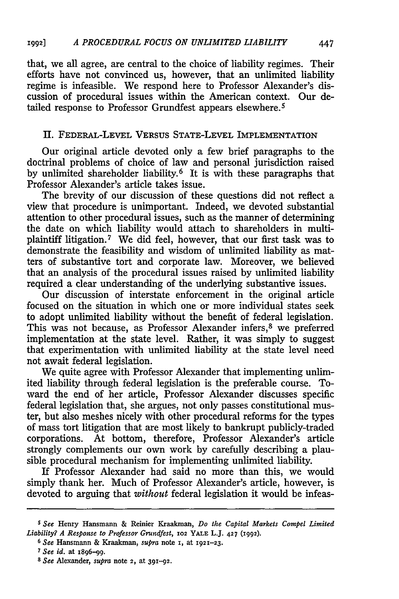that, we all agree, are central to the choice of liability regimes. Their efforts have not convinced us, however, that an unlimited liability regime is infeasible. We respond here to Professor Alexander's discussion of procedural issues within the American context. Our detailed response to Professor Grundfest appears elsewhere.<sup>5</sup>

# II. FEDERAL-LEVEL VERSUS STATE-LEVEL IMPLEMENTATION

Our original article devoted only a few brief paragraphs to the doctrinal problems of choice of law and personal jurisdiction raised by unlimited shareholder liability.6 It is with these paragraphs that Professor Alexander's article takes issue.

The brevity of our discussion of these questions did not reflect a view that procedure is unimportant. Indeed, we devoted substantial attention to other procedural issues, such as the manner of determining the date on which liability would attach to shareholders in multiplaintiff litigation.7 We did feel, however, that our first task was to demonstrate the feasibility and wisdom of unlimited liability as matters of substantive tort and corporate law. Moreover, we believed that an analysis of the procedural issues raised by unlimited liability required a clear understanding of the underlying substantive issues.

Our discussion of interstate enforcement in the original article focused on the situation in which one or more individual states seek to adopt unlimited liability without the benefit of federal legislation. This was not because, as Professor Alexander infers,<sup>8</sup> we preferred implementation at the state level. Rather, it was simply to suggest that experimentation with unlimited liability at the state level need not await federal legislation.

We quite agree with Professor Alexander that implementing unlimited liability through federal legislation is the preferable course. Toward the end of her article, Professor Alexander discusses specific federal legislation that, she argues, not only passes constitutional muster, but also meshes nicely with other procedural reforms for the types of mass tort litigation that are most likely to bankrupt publicly-traded corporations. At bottom, therefore, Professor Alexander's article strongly complements our own work by carefully describing a plausible procedural mechanism for implementing unlimited liability.

If Professor Alexander had said no more than this, we would simply thank her. Much of Professor Alexander's article, however, is devoted to arguing that *without* federal legislation it would be infeas-

*S See* Henry Hansmann & Reinier Kraakman, *Do the Capital Markets Compel Limited Liability? A Response to Professor Grundfest,* **102 YALE L.J.** 427 **(1992).**

*<sup>6</sup> See* Hansmann **&** Kraakman, *supra* note i, at **1921-23.**

**<sup>7</sup>** *See id.* at 1896-99.

*<sup>8</sup> See* Alexander, *supra* note **2,** at **391-92.**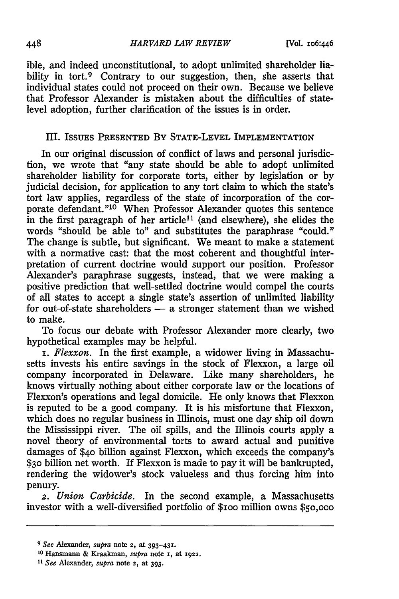ible, and indeed unconstitutional, to adopt unlimited shareholder liability in tort.<sup>9</sup> Contrary to our suggestion, then, she asserts that individual states could not proceed on their own. Because we believe that Professor Alexander is mistaken about the difficulties of statelevel adoption, further clarification of the issues is in order.

#### III. **ISSUES PRESENTED BY STATE-LEVEL** IMPLEMENTATION

In our original discussion of conflict of laws and personal jurisdiction, we wrote that "any state should be able to adopt unlimited shareholder liability for corporate torts, either by legislation or by judicial decision, for application to any tort claim to which the state's tort law applies, regardless of the state of incorporation of the corporate defendant."<sup>10</sup> When Professor Alexander quotes this sentence in the first paragraph of her article<sup>11</sup> (and elsewhere), she elides the words "should be able to" and substitutes the paraphrase "could." The change is subtle, but significant. We meant to make a statement with a normative cast: that the most coherent and thoughtful interpretation of current doctrine would support our position. Professor Alexander's paraphrase suggests, instead, that we were making a positive prediction that well-settled doctrine would compel the courts of all states to accept a single state's assertion of unlimited liability for out-of-state shareholders  $-$  a stronger statement than we wished to make.

To focus our debate with Professor Alexander more clearly, two hypothetical examples may be helpful.

*i. Flexxon.* In the first example, a widower living in Massachusetts invests his entire savings in the stock of Flexxon, a large oil company incorporated in Delaware. Like many shareholders, he knows virtually nothing about either corporate law or the locations of Flexxon's operations and legal domicile. He only knows that Flexxon is reputed to be a good company. It is his misfortune that Flexxon, which does no regular business in Illinois, must one day ship oil down the Mississippi river. The oil spills, and the Illinois courts apply a novel theory of environmental torts to award actual and punitive damages of \$4o billion against Flexxon, which exceeds the company's **\$30** billion net worth. If Flexxon is made to pay it will be bankrupted, rendering the widower's stock valueless and thus forcing him into penury.

**2.** *Union Carbicide.* In the second example, a Massachusetts investor with a well-diversified portfolio of \$ioo million owns **\$50,000**

*<sup>9</sup> See* Alexander, *supra* note **2, at 393-431.**

**<sup>10</sup>**Hansmann **&** Kraakman, *supra* note **i,** at 1922.

*<sup>11</sup>See* Alexander, *supra* note 2, at **393.**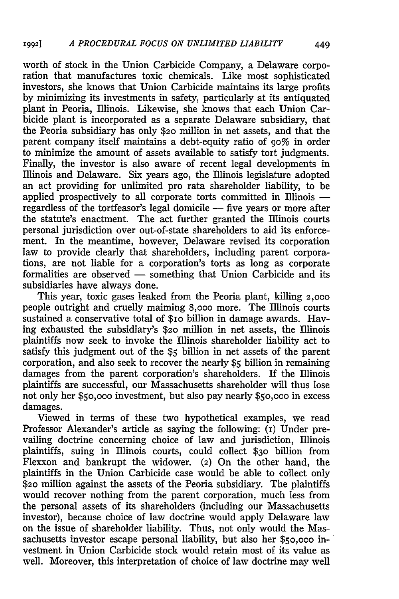worth of stock in the Union Carbicide Company, a Delaware corporation that manufactures toxic chemicals. Like most sophisticated investors, she knows that Union Carbicide maintains its large profits by minimizing its investments in safety, particularly at its antiquated plant in Peoria, Illinois. Likewise, she knows that each Union Carbicide plant is incorporated as a separate Delaware subsidiary, that the Peoria subsidiary has only **\$20** million in net assets, and that the parent company itself maintains a debt-equity ratio of go% in order to minimize the amount of assets available to satisfy tort judgments. Finally, the investor is also aware of recent legal developments in Illinois and Delaware. Six years ago, the Illinois legislature adopted an act providing for unlimited pro rata shareholder liability, to be applied prospectively to all corporate torts committed in Illinois regardless of the tortfeasor's legal domicile - five years or more after the statute's enactment. The act further granted the Illinois courts personal jurisdiction over out-of-state shareholders to aid its enforcement. In the meantime, however, Delaware revised its corporation law to provide clearly that shareholders, including parent corporations, are not liable for a corporation's torts as long as corporate formalities are observed  $-$  something that Union Carbicide and its subsidiaries have always done.

This year, toxic gases leaked from the Peoria plant, killing **2,000** people outright and cruelly maiming 8,ooo more. The Illinois courts sustained a conservative total of \$10 billion in damage awards. Having exhausted the subsidiary's **\$20** million in net assets, the Illinois plaintiffs now seek to invoke the Illinois shareholder liability act to satisfy this judgment out of the **\$5** billion in net assets of the parent corporation, and also seek to recover the nearly **\$5** billion in remaining damages from the parent corporation's shareholders. If the Illinois plaintiffs are successful, our Massachusetts shareholder will thus lose not only her **\$5o,ooo** investment, but also pay nearly **\$50,000** in excess damages.

Viewed in terms of these two hypothetical examples, we read Professor Alexander's article as saying the following: (i) Under prevailing doctrine concerning choice of law and jurisdiction, Illinois plaintiffs, suing in Illinois courts, could collect **\$3o** billion from Flexxon and bankrupt the widower. (2) On the other hand, the plaintiffs in the Union Carbicide case would be able to collect only **\$20** million against the assets of the Peoria subsidiary. The plaintiffs would recover nothing from the parent corporation, much less from the personal assets of its shareholders (including our Massachusetts investor), because choice of law doctrine would apply Delaware law on the issue of shareholder liability. Thus, not only would the Massachusetts investor escape personal liability, but also her **\$5o,ooo** investment in Union Carbicide stock would retain most of its value as well. Moreover, this interpretation of choice of law doctrine may well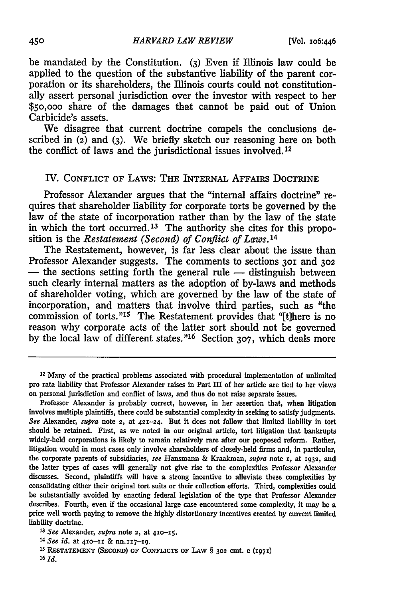be mandated by the Constitution. **(3)** Even if Illinois law could be applied to the question of the substantive liability of the parent corporation or its shareholders, the Illinois courts could not constitutionally assert personal jurisdiction over the investor with respect to her **\$50,000** share of the damages that cannot be paid out of Union Carbicide's assets.

We disagree that current doctrine compels the conclusions described in (2) and (3). We briefly sketch our reasoning here on both the conflict of laws and the jurisdictional issues involved.<sup>12</sup>

### IV. CONFLICT OF LAWS: **THE** INTERNAL AFFAIRS DOCTRINE

Professor Alexander argues that the "internal affairs doctrine" requires that shareholder liability for corporate torts be governed **by** the law of the state of incorporation rather than **by** the law of the state in which the tort occurred. 13 The authority she cites for this proposition is the *Restatement (Second) of Conflict of Laws.14*

The Restatement, however, is far less clear about the issue than Professor Alexander suggests. The comments to sections **301** and **302 -** the sections setting forth the general rule **-** distinguish between such clearly internal matters as the adoption of by-laws and methods of shareholder voting, which are governed by the law of the state of incorporation, and matters that involve third parties, such as "the commission of torts."<sup>15</sup> The Restatement provides that "[t]here is no reason why corporate acts of the latter sort should not be governed by the local law of different states."<sup>16</sup> Section 307, which deals more

**16** *Id.*

**<sup>12</sup>** Many of the practical problems associated with procedural implementation of unlimited pro rata liability that Professor Alexander raises in Part III of her article are tied to her views on personal jurisdiction and conflict of laws, and thus do not raise separate issues.

Professor Alexander is probably correct, however, in her assertion that, when litigation involves multiple plaintiffs, there could be substantial complexity in seeking to satisfy judgments. *See* Alexander, *supra* note **2,** at **421-24.** But it does not follow that limited liability in tort should **be** retained. First, as we noted in our original article, tort litigation that bankrupts widely-held corporations is likely to remain relatively rare after our proposed reform. Rather, litigation would in most cases only involve shareholders of closely-held firms and, in particular, the corporate parents of subsidiaries, *see* Hansmann & Kraakman, *supra* note **x,** at **1932,** and the latter types of cases will generally not give rise to the complexities Professor Alexander discusses. Second, plaintiffs will have a strong incentive to alleviate these complexities **by** consolidating either their original tort suits or their collection efforts. Third, complexities could be substantially avoided **by** enacting federal legislation of the type that Professor Alexander describes. Fourth, even if the occasional large case encountered some complexity, it may be a price well worth paying to remove the **highly** distortionary incentives created **by** current limited liability doctrine.

*<sup>13</sup> See* Alexander, *supra* note **2,** at **410-15.**

*<sup>14</sup> See id.* at **410-11 & nn.II7-i9.**

**<sup>15</sup> RESTATEMENT (SECOND) OF** CONFLICTS **OF LAW** § **302** cmt. e **(1971)**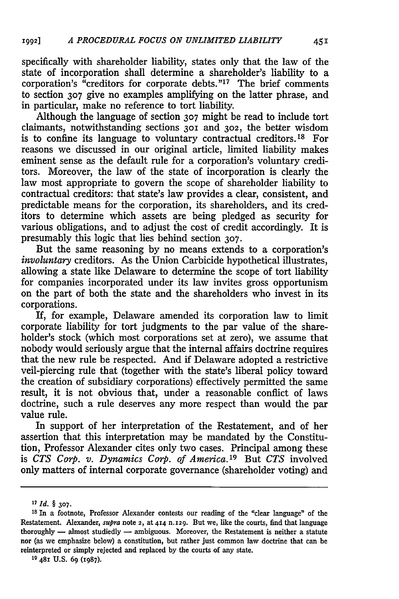specifically with shareholder liability, states only that the law of the state of incorporation shall determine a shareholder's liability to a corporation's "creditors for corporate debts."<sup>17</sup> The brief comments to section **307** give no examples amplifying on the latter phrase, and in particular, make no reference to tort liability.

Although the language of section **307** might be read to include tort claimants, notwithstanding sections **301** and **302,** the better wisdom is to confine its language to voluntary contractual creditors.<sup>18</sup> For reasons we discussed in our original article, limited liability makes eminent sense as the default rule for a corporation's voluntary creditors. Moreover, the law of the state of incorporation is clearly the law most appropriate to govern the scope of shareholder liability to contractual creditors: that state's law provides a clear, consistent, and predictable means for the corporation, its shareholders, and its creditors to determine which assets are being pledged as security for various obligations, and to adjust the cost of credit accordingly. It is presumably this logic that lies behind section **307.**

But the same reasoning **by** no means extends to a corporation's *involuntary* creditors. As the Union Carbicide hypothetical illustrates, allowing a state like Delaware to determine the scope of tort liability for companies incorporated under its law invites gross opportunism on the part of both the state and the shareholders who invest in its corporations.

If, for example, Delaware amended its corporation law to limit corporate liability for tort judgments to the par value of the shareholder's stock (which most corporations set at zero), we assume that nobody would seriously argue that the internal affairs doctrine requires that the new rule be respected. And if Delaware adopted a restrictive veil-piercing rule that (together with the state's liberal policy toward the creation of subsidiary corporations) effectively permitted the same result, it is not obvious that, under a reasonable conflict of laws doctrine, such a rule deserves any more respect than would the par value rule.

In support of her interpretation of the Restatement, and of her assertion that this interpretation may be mandated **by** the Constitution, Professor Alexander cites only two cases. Principal among these is *CTS Corp. v. Dynamics Corp. of America.19* But *CTS* involved only matters of internal corporate governance (shareholder voting) and

**<sup>17</sup>***Id. §* **307.**

**<sup>18</sup>** In a footnote, Professor Alexander contests our reading of the "clear language" of the Restatement. Alexander, *supra* note **2,** at **414 n.129.** But we, like the courts, find that language thoroughly **-** almost studiedly **-** ambiguous. Moreover, the Restatement is neither a statute nor (as we emphasize below) a constitution, but rather just common law doctrine that can be reinterpreted or simply rejected and replaced **by** the courts of any state.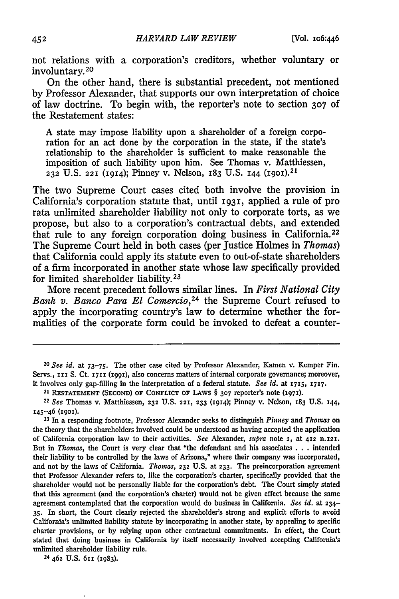not relations with a corporation's creditors, whether voluntary or involuntary. <sup>20</sup>

On the other hand, there is substantial precedent, not mentioned by Professor Alexander, that supports our own interpretation of choice of law doctrine. To begin with, the reporter's note to section **307 of** the Restatement states:

A state may impose liability upon a shareholder of a foreign corporation for an act done by the corporation in the state, if the state's relationship to the shareholder is sufficient to make reasonable the imposition of such liability upon him. See Thomas v. Matthiessen, **<sup>232</sup>**U.S. **221** (I914); Pinney v. Nelson, 183 **U.S.** 144 (IgoI).21

The two Supreme Court cases cited both involve the provision in California's corporation statute that, until I931, applied a rule of pro rata unlimited shareholder liability not only to corporate torts, as we propose, but also to a corporation's contractual debts, and extended that rule to any foreign corporation doing business in California. <sup>22</sup> The Supreme Court held in both cases (per Justice Holmes in *Thomas)* that California could apply its statute even to out-of-state shareholders of a firm incorporated in another state whose law specifically provided for limited shareholder liability.<sup>23</sup>

More recent precedent follows similar lines. In *First National City Bank v. Banco Para El Comercio,24* the Supreme Court refused to apply the incorporating country's law to determine whether the formalities of the corporate form could be invoked to defeat a counter-

*<sup>20</sup>See id.* at **73-75.** The other case cited **by** Professor Alexander, Kamen v. Kemper Fin. Servs., III S. Ct. 1711 (1991), also concerns matters of internal corporate governance; moreover, it involves only gap-filling in the interpretation of a federal statute. *See id.* at **1715**, 1717.

**<sup>21</sup> RESTATEMENT (SECOND) OF CONFLICT OF LAWS** § **307** reporter's note (1971).

*<sup>22</sup>See* Thomas v. Matthiessen, **232 U.S. 221, 233 (19x4);** Pinney v. Nelson, 183 **U.S. 144, 145-46** (Igoi).

**<sup>23</sup>**In a responding footnote, Professor Alexander seeks to distinguish *Pinney and Thomas* on the theory that the shareholders involved could be understood as having accepted the application of California corporation law to their activities. *See* Alexander, *supra* note **2,** at **412 n.12i.** But in *Thomas,* the Court is very clear that "the defendant and his associates **. . .** intended their liability to be controlled **by** the laws of Arizona," where their company was incorporated, and not **by** the laws of California. *Thomas,* **232 U.S.** at **233.** The preincorporation agreement that Professor Alexander refers to, like the corporation's charter, specifically provided that the shareholder would not be personally liable for the corporation's debt. The Court simply stated that this agreement (and the corporation's charter) would not be given effect because the same agreement contemplated that the corporation would do business in California. *See id.* at **234- 35.** In short, the Court clearly rejected the shareholder's strong and explicit efforts to avoid California's unlimited liability statute **by** incorporating in another state, **by** appealing to specific charter provisions, or **by** relying upon other contractual commitments. In effect, the Court stated that doing business in California **by** itself necessarily involved accepting California's unlimited shareholder liability rule.

**<sup>24 462</sup> U.S.** 611 **(1983).**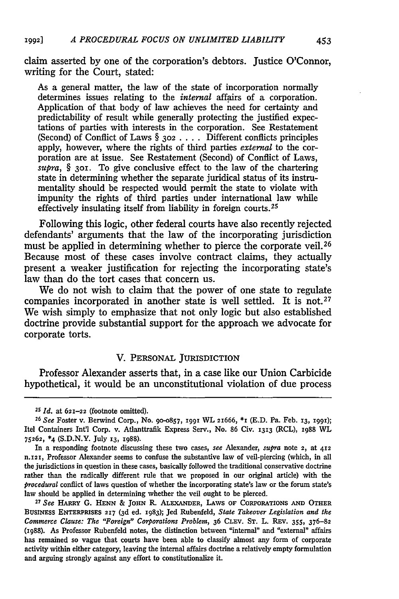claim asserted **by** one of the corporation's debtors. Justice O'Connor, writing for the Court, stated:

As a general matter, the law of the state of incorporation normally determines issues relating to the *internal* affairs of a corporation. Application of that body of law achieves the need for certainty and predictability of result while generally protecting the justified expectations of parties with interests in the corporation. See Restatement (Second) of Conflict of Laws § **302** .... Different conflicts principles apply, however, where the rights of third parties *external* to the corporation are at issue. See Restatement (Second) of Conflict of Laws, *supra, §* **301.** To give conclusive effect to the law of the chartering state in determining whether the separate juridical status of its instrumentality should be respected would permit the state to violate with impunity the rights of third parties under international law while effectively insulating itself from liability in foreign courts. <sup>25</sup>

Following this logic, other federal courts have also recently rejected defendants' arguments that the law of the incorporating jurisdiction must be applied in determining whether to pierce the corporate veil.<sup>26</sup> Because most of these cases involve contract claims, they actually present a weaker justification for rejecting the incorporating state's law than do the tort cases that concern us.

We do not wish to claim that the power of one state to regulate companies incorporated in another state is well settled. It is not.<sup>27</sup> We wish simply to emphasize that not only logic but also established doctrine provide substantial support for the approach we advocate for corporate torts.

### V. PERSONAL JURISDICTION

Professor Alexander asserts that, in a case like our Union Carbicide hypothetical, it would be an unconstitutional violation of due process

*<sup>25</sup>Id.* at 621-22 (footnote omitted).

**<sup>26</sup>***See* Foster v. Berwind Corp., No. **9o-o857, i99i** WL 21666, **\*i (E.D.** Pa. Feb. **13, 199);** Itel Containers Int'l Corp. v. Atlanttrafik Express Serv., No. 86 Civ. i313 (RCL), 1988 WL **75262,** \*4 (S.D.N.Y. July **13,** 1988).

In a responding footnote discussing these two cases, *see* Alexander, *supra* note **2,** at **412** n.i2i, Professor Alexander seems to confuse the substantive law of veil-piercing (which, in all the jurisdictions in question in these cases, basically followed the traditional conservative doctrine rather than the radically different rule that we proposed in our original article) with the *procedural* conflict of laws question of whether the incorporating state's law or the forum state's law should be applied in determining whether the veil ought to be pierced.

**<sup>27</sup>***See* **HARRY G. HENN** & **JOHN** R\_ **ALEXANDER,** LAWS **OF** CORPORATIONS **AND OTHER BUSINESs ENTERPRISES 217 (3d** ed. **1983);** Jed Rubenfeld, *State Takeover Legislation and the Commerce Clause: The "Foreign" Corporations Problem,* 36 **CLEv. ST.** L. REv. 355, 376-82 (I988). As Professor Rubenfeld notes, the distinction between "internal" and "external" affairs has remained so vague that courts have been able to classify almost any form of corporate activity within either category, leaving the internal affairs doctrine a relatively empty formulation and arguing strongly against any effort to constitutionalize it.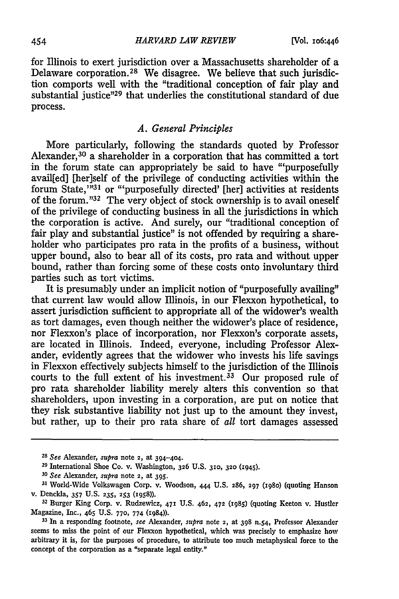for Illinois to exert jurisdiction over a Massachusetts shareholder of a Delaware corporation.<sup>28</sup> We disagree. We believe that such jurisdiction comports well with the "traditional conception of fair play and substantial justice"29 that underlies the constitutional standard of due process.

#### *A. General Principles*

More particularly, following the standards quoted by Professor Alexander,<sup>30</sup> a shareholder in a corporation that has committed a tort in the forum state can appropriately be said to have "'purposefully avail[ed] [her]self of the privilege of conducting activities within the forum State,<sup>1931</sup> or "'purposefully directed' [her] activities at residents of the forum."32 The very object of stock ownership is to avail oneself of the privilege of conducting business in all the jurisdictions in which the corporation is active. And surely, our "traditional conception of fair play and substantial justice" is not offended by requiring a shareholder who participates pro rata in the profits of a business, without upper bound, also to bear all of its costs, pro rata and without upper bound, rather than forcing some of these costs onto involuntary third parties such as tort victims.

It is presumably under an implicit notion of "purposefully availing" that current law would allow Illinois, in our Flexxon hypothetical, to assert jurisdiction sufficient to appropriate all of the widower's wealth as tort damages, even though neither the widower's place of residence, nor Flexxon's place of incorporation, nor Flexxon's corporate assets, are located in Illinois. Indeed, everyone, including Professor Alexander, evidently agrees that the widower who invests his life savings in Flexxon effectively subjects himself to the jurisdiction of the Illinois courts to the full extent of his investment.<sup>33</sup> Our proposed rule of pro rata shareholder liability merely alters this convention so that shareholders, upon investing in a corporation, are put on notice that they risk substantive liability not just up to the amount they invest, but rather, up to their pro rata share of *all* tort damages assessed

*<sup>28</sup>See* Alexander, *supra* note **2,** at 394-404.

**<sup>29</sup>**International Shoe Co. v. Washington, **326** U.S. **310, 320** (x945).

*<sup>30</sup>See* Alexander, *supra* note **2,** at 395.

**<sup>31</sup>**World-wide Volkswagen Corp. v. Woodson, 444 U.S. 286, **297** (198o) (quoting Hanson v. Denckla, 357 U.S. **235, 253 (1958)).**

**<sup>32</sup>**Burger King Corp. v. Rudzewicz, **471** U.S. 462, 472 **(x985)** (quoting Keeton v. Hustler Magazine, Inc., 465 U.S. **770,** 774 (1984)).

**<sup>33</sup>**In a responding footnote, *see* Alexander, *supra* note *2,* at **398** n.54, Professor Alexander seems to miss the point of our Flexxon hypothetical, which was precisely to emphasize how arbitrary it is, for the purposes of procedure, to attribute too much metaphysical force to the concept of the corporation as a "separate legal entity."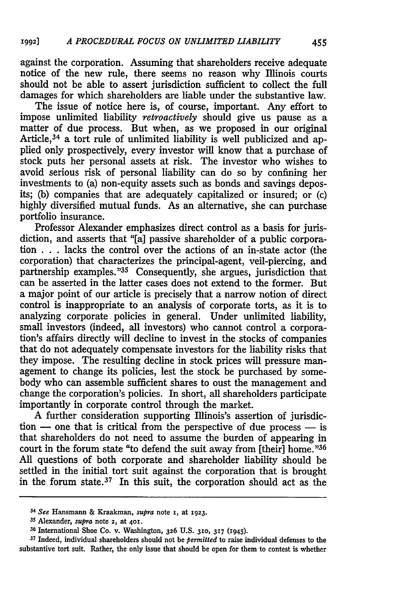against the corporation. Assuming that shareholders receive adequate notice of the new rule, there seems no reason why Illinois courts should not be able to assert jurisdiction sufficient to collect the full damages for which shareholders are liable under the substantive law.

The issue of notice here is, of course, important. Any effort to impose unlimited liability *retroactively* should give us pause as a matter of due process. But when, as we proposed in our original Article,<sup>34</sup> a tort rule of unlimited liability is well publicized and applied only prospectively, every investor will know that a purchase of stock puts her personal assets at risk. The investor who wishes to avoid serious risk of personal liability can do so by confining her investments to (a) non-equity assets such as bonds and savings deposits; (b) companies that are adequately capitalized or insured; or (c) highly diversified mutual funds. As an alternative, she can purchase portfolio insurance.

Professor Alexander emphasizes direct control as a basis for jurisdiction, and asserts that "[a] passive shareholder of a public corporation . ..lacks the control over the actions of an in-state actor (the corporation) that characterizes the principal-agent, veil-piercing, and partnership examples."35 Consequently, she argues, jurisdiction that can be asserted in the latter cases does not extend to the former. But a major point of our article is precisely that a narrow notion of direct control is inappropriate to an analysis of corporate torts, as it is to analyzing corporate policies in general. Under unlimited liability, small investors (indeed, all investors) who cannot control a corporation's affairs directly will decline to invest in the stocks of companies that do not adequately compensate investors for the liability risks that they impose. The resulting decline in stock prices will pressure management to change its policies, lest the stock be purchased by somebody who can assemble sufficient shares to oust the management and change the corporation's policies. In short, all shareholders participate importantly in corporate control through the market.

A further consideration supporting Illinois's assertion of jurisdiction - one that is critical from the perspective of due process - is that shareholders do not need to assume the burden of appearing in court in the forum state "to defend the suit away from [their] home."<sup>36</sup> All questions of both corporate and shareholder liability should be settled in the initial tort suit against the corporation that is brought in the forum state.37 In this suit, the corporation should act as the

<sup>34</sup>*See* Hansmann & Kraakman, *supra* note i, at **1923.**

**<sup>3</sup>s** Alexander, *supra* note **2,** at **401.**

**<sup>36</sup>**International Shoe Co. v. Washington, **326** U.S. **310, 317** (1945).

**<sup>37</sup>** Indeed, individual shareholders should not be *permitted* to raise individual defenses to the substantive tort suit. Rather, the only issue that should be open for them to contest is whether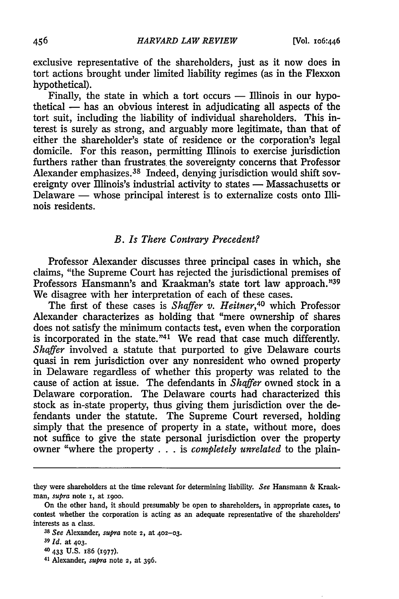exclusive representative of the shareholders, just as it now does in tort actions brought under limited liability regimes (as in the Flexxon hypothetical).

Finally, the state in which a tort occurs  $-$  Illinois in our hypo $t$ hetical  $-$  has an obvious interest in adjudicating all aspects of the tort suit, including the liability of individual shareholders. This interest is surely as strong, and arguably more legitimate, than that of either the shareholder's state of residence or the corporation's legal domicile. For this reason, permitting Illinois to exercise jurisdiction furthers rather than frustrates, the sovereignty concerns that Professor Alexander emphasizes. 38 Indeed, denying jurisdiction would shift sovereignty over Illinois's industrial activity to states - Massachusetts or Delaware — whose principal interest is to externalize costs onto Illinois residents.

#### *B. Is There Contrary Precedent?*

Professor Alexander discusses three principal cases in which, she claims, "the Supreme Court has rejected the jurisdictional premises of Professors Hansmann's and Kraakman's state tort law approach."39 We disagree with her interpretation of each of these cases.

The first of these cases is *Shaffer v. Heitner,40* which Professor Alexander characterizes as holding that "mere ownership of shares does not satisfy the minimum contacts test, even when the corporation is incorporated in the state."<sup>41</sup> We read that case much differently. *Shaffer* involved a statute that purported to give Delaware courts quasi in rem jurisdiction over any nonresident who owned property in Delaware regardless of whether this property was related to the cause of action at issue. The defendants in *Shaffer* owned stock in a Delaware corporation. The Delaware courts had characterized this stock as in-state property, thus giving them jurisdiction over the defendants under the statute. The Supreme Court reversed, holding simply that the presence of property in a state, without more, does not suffice to give the state personal jurisdiction over the property owner "where the property . . . is *completely unrelated* to the plain-

they were shareholders at the time relevant for determining liability. *See* Hansmann & Kraakman, *supra* note i, at igoo.

On the other hand, it should presumably be open to shareholders, in appropriate cases, to contest whether the corporation is acting as an adequate representative of the shareholders' interests as a class.

*<sup>38</sup>See* Alexander, *supra* note **2,** at **402-03.**

**<sup>39</sup>***Id.* at **403.**

<sup>40</sup>**433 U.S. 186** (1977). 41 Alexander, *supra* note **2,** at **396.**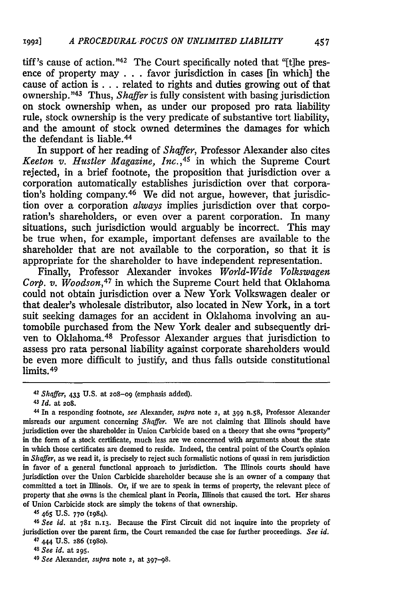tiff's cause of action." $42$  The Court specifically noted that "[t]he presence of property may . . **.** favor jurisdiction in cases [in which] the cause of action is **.** . related to rights and duties growing out of that ownership.<sup>"43</sup> Thus, *Shaffer* is fully consistent with basing jurisdiction on stock ownership when, as under our proposed pro rata liability rule, stock ownership is the very predicate of substantive tort liability, and the amount of stock owned determines the damages for which the defendant is liable. <sup>44</sup>

In support of her reading of *Shaffer,* Professor Alexander also cites *Keeton v. Hustler Magazine, Inc., 45* in which the Supreme Court rejected, in a brief footnote, the proposition that jurisdiction over a corporation automatically establishes jurisdiction over that corporation's holding company.<sup>46</sup> We did not argue, however, that jurisdiction over a corporation *always* implies jurisdiction over that corporation's shareholders, or even over a parent corporation. In many situations, such jurisdiction would arguably be incorrect. This may be true when, for example, important defenses are available to the shareholder that are not available to the corporation, so that it is appropriate for the shareholder to have independent representation.

Finally, Professor Alexander invokes *World-Wide Volkswagen Corp. v. Woodson,47* in which the Supreme Court held that Oklahoma could not obtain jurisdiction over a New York Volkswagen dealer or that dealer's wholesale distributor, also located in New York, in a tort suit seeking damages for an accident in Oklahoma involving an automobile purchased from the New York dealer and subsequently driven to Oklahoma. 48 Professor Alexander argues that jurisdiction to assess pro rata personal liability against corporate shareholders would be even more difficult to justify, and thus falls outside constitutional limits.<sup>49</sup>

**<sup>43</sup>***Id.* at **208.**

*46 See id.* at **781** n.13. Because the First Circuit did not inquire into the propriety of jurisdiction over the parent firm, the Court remanded the case for further proceedings. *See id.*

**<sup>47</sup>**444 **U.S. 286 (i98o).**

**<sup>48</sup>***See id.* at **295.**

<sup>42</sup> Shaffer, 433 U.S. at **208-09** (emphasis added).

**<sup>44</sup> In** a responding footnote, see Alexander, supra note **2,** at 399 n.58, Professor Alexander misreads our argument concerning *Shaffer*. We are not claiming that Illinois should have jurisdiction over the shareholder in Union Carbicide based on a theory that she owns "property" in the form of a stock certificate, much less are we concerned with arguments about the state in which those certificates are deemed to reside. Indeed, the central point of the Court's opinion in *Shaffer,* as we read it, is precisely to reject such formalistic notions of quasi in rem jurisdiction in favor of a general functional approach to jurisdiction. The Illinois courts should have jurisdiction over the Union Carbicide shareholder because she is an owner of a company that committed a tort in Illinois. Or, if we are to speak in terms of property, the relevant piece of property that she owns is the chemical plant in Peoria, Illinois that caused the tort. Her shares of Union Carbicide stock are simply the tokens of that ownership.

<sup>45 465</sup> **U.S. 770** (1984).

<sup>49</sup>*See* Alexander, supra note 2, at 397-98.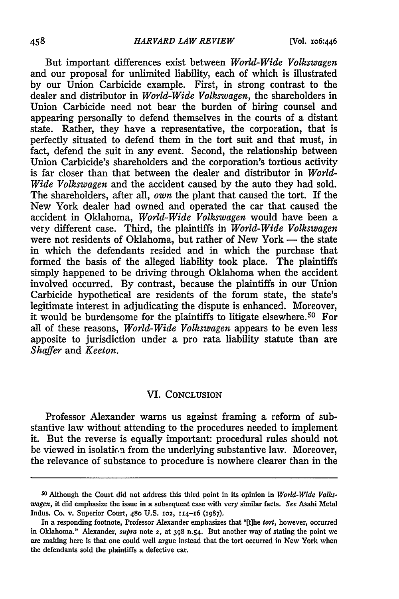But important differences exist between *World-Wide Volkswagen* and our proposal for unlimited liability, each of which is illustrated by our Union Carbicide example. First, in strong contrast to the dealer and distributor in *World-Wide Volkswagen,* the shareholders in Union Carbicide need not bear the burden of hiring counsel and appearing personally to defend themselves in the courts of a distant state. Rather, they have a representative, the corporation, that is perfectly situated to defend them in the tort suit and that must, in fact, defend the suit in any event. Second, the relationship between Union Carbicide's shareholders and the corporation's tortious activity is far closer than that between the dealer and distributor in *World-Wide Volkswagen* and the accident caused by the auto they had sold. The shareholders, after all, *own* the plant that caused the tort. If the New York dealer had owned and operated the car that caused the accident in Oklahoma, *World-Wide Volkswagen* would have been a very different case. Third, the plaintiffs in *World-Wide Volkswagen* were not residents of Oklahoma, but rather of New York - the state in which the defendants resided and in which the purchase that formed the basis of the alleged liability took place. The plaintiffs simply happened to be driving through Oklahoma when the accident involved occurred. By contrast, because the plaintiffs in our Union Carbicide hypothetical are residents of the forum state, the state's legitimate interest in adjudicating the dispute is enhanced. Moreover, it would be burdensome for the plaintiffs to litigate elsewhere.<sup>50</sup> For all of these reasons, *World-Wide Volkswagen* appears to be even less apposite to jurisdiction under a pro rata liability statute than are *Shaffer* and *Keeton.*

#### VI. CoNcLUSION

Professor Alexander warns us against framing a reform of substantive law without attending to the procedures needed to implement it. But the reverse is equally important: procedural rules should not be viewed in isolaticn from the underlying substantive law. Moreover, the relevance of substance to procedure is nowhere clearer than in the

**<sup>50</sup>**Although the Court did not address this third point in its opinion in *World-Wide Volkswagen,* it did emphasize the issue in a subsequent case with very similar facts. *See* Asahi Metal Indus. Co. v. Superior Court, **480 U.S. 102, 114-16** (1987).

In a responding footnote, Professor Alexander emphasizes that "[t]he *tort,* however, occurred in Oklahoma." Alexander, *supra* note **2,** at **398** n.54. But another way of stating the point we are making here is that one could well argue instead that the tort occurred in New York when the defendants sold the plaintiffs a defective **car.**